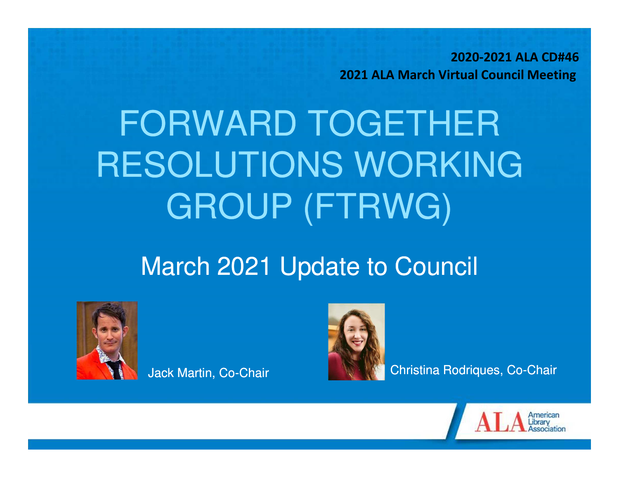**2020-2021 ALA CD#462021 ALA March Virtual Council Meeting** 

# FORWARD TOGETHER RESOLUTIONS WORKING GROUP (FTRWG)

#### March 2021 Update to Council



Jack Martin, Co-Chair



Christina Rodriques, Co-Chair

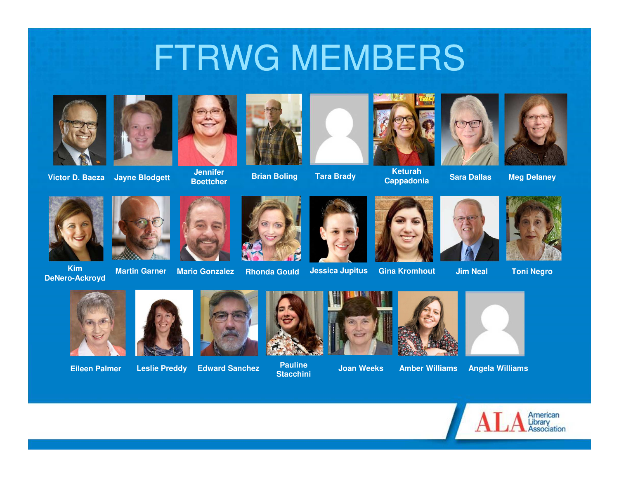### FTRWG MEMBERS



**Victor D. Baeza Jayne Blodgett**











**Brian Boling Tara Brady Keturah Cappadonia**





**Sara Dallas Meg Delaney**





**DeNero-Ackroyd**



**Martin Garner**



**Rhonda Gould**



**Jessica Jupitus Gina Kromhout Jim Neal Toni Negro**





**Eileen Palmer**



**Leslie Preddy**

**Edward Sanchez Pauline Stacchini**





**Joan Weeks Amber Williams Angela Williams**







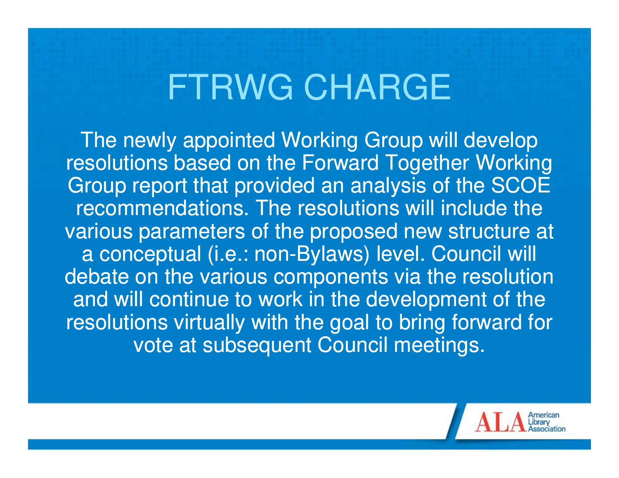## FTRWG CHARGE

The newly appointed Working Group will develop resolutions based on the Forward Together Working Group report that provided an analysis of the SCOE recommendations. The resolutions will include the various parameters of the proposed new structure ata conceptual (i.e.: non-Bylaws) level. Council will debate on the various components via the resolution and will continue to work in the development of the resolutions virtually with the goal to bring forward for vote at subsequent Council meetings.

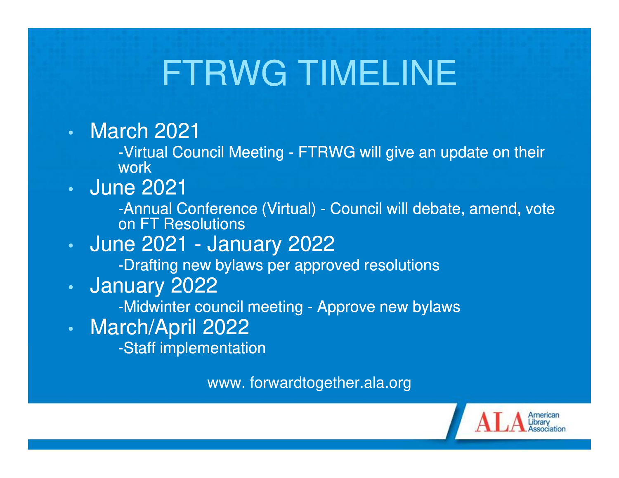## FTRWG TIMELINE

•March 2021

> -Virtual Council Meeting - FTRWG will give an update on their work

 June 2021•

> -Annual Conference (Virtual) - Council will debate, amend, vote on FT Resolutions

 June 2021 - January 2022•

-Drafting new bylaws per approved resolutions

•January 2022

-Midwinter council meeting - Approve new bylaws

•March/April 2022

-Staff implementation

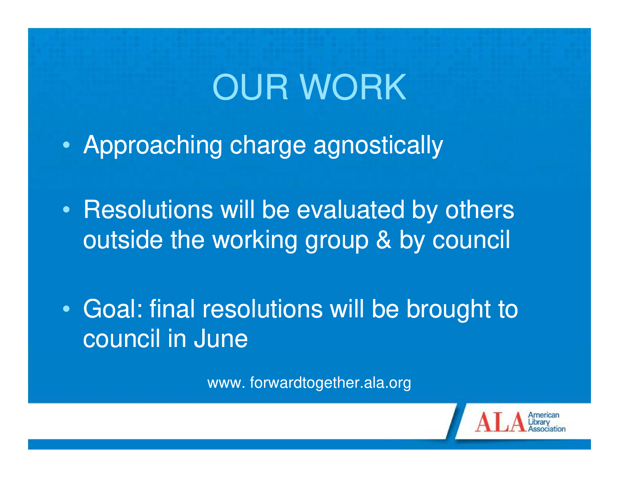# OUR WORK

- $\bullet$ Approaching charge agnostically
- $\bullet$ • Resolutions will be evaluated by others outside the working group & by council
- $\bullet$  Goal: final resolutions will be brought to council in June

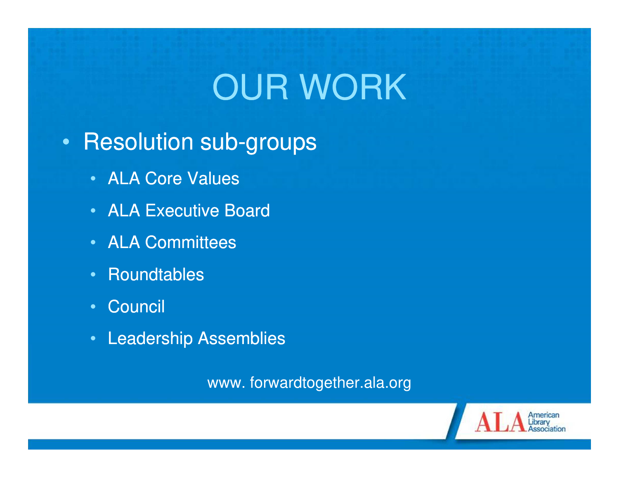# OUR WORK

#### •Resolution sub-groups

- ALA Core Values
- ALA Executive Board
- ALA Committees
- •**Roundtables**
- Council
- Leadership Assemblies

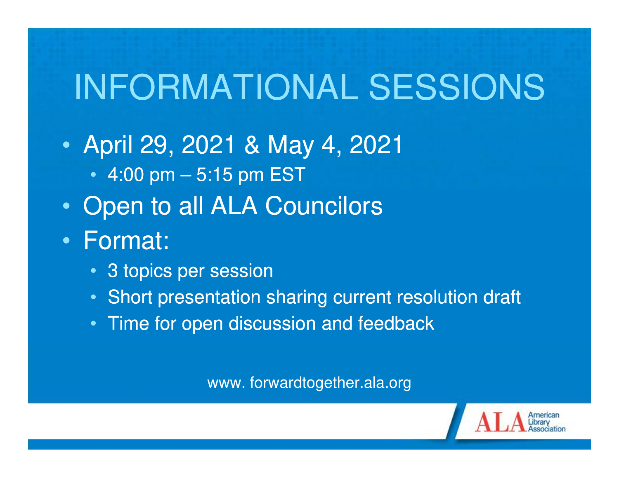# INFORMATIONAL SESSIONS

- $\bullet$  April 29, 2021 & May 4, 2021
	- 4:00 pm 5:15 pm EST
- •Open to all ALA Councilors
- $\bullet$  Format:
	- 3 topics per session
	- Short presentation sharing current resolution draft
	- Time for open discussion and feedback